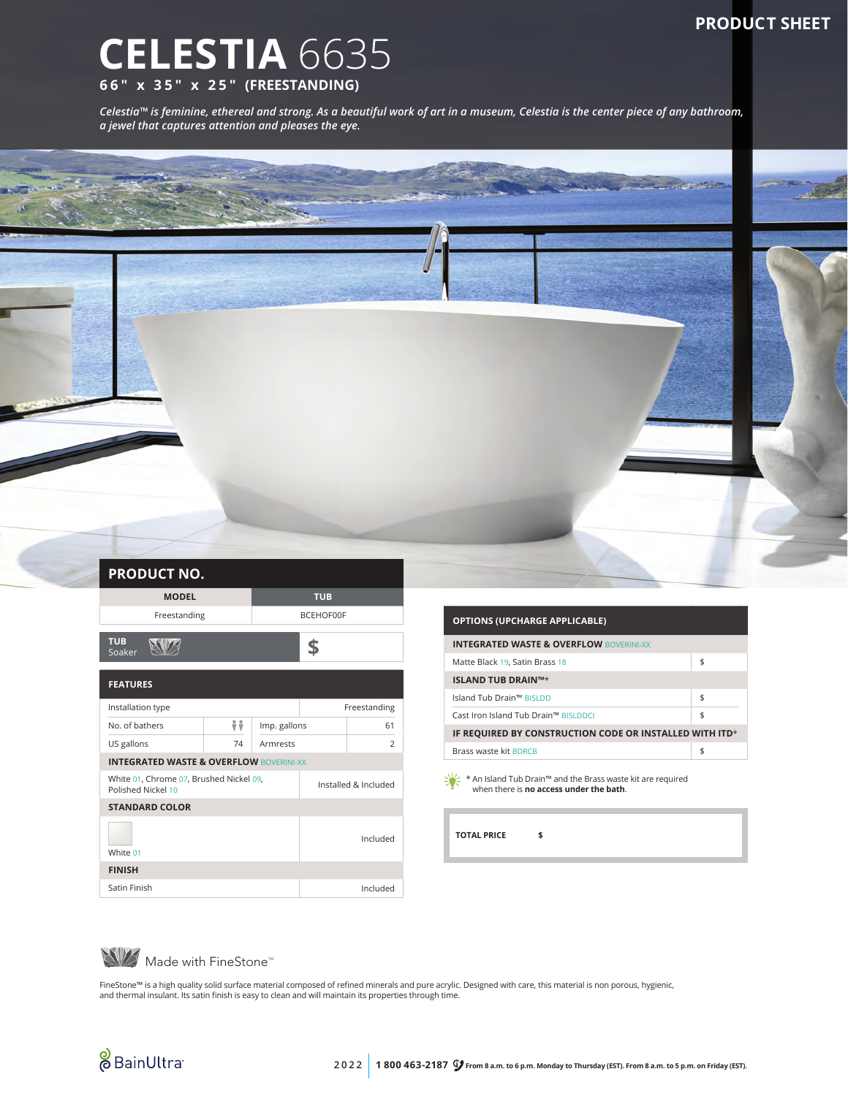## **PRODUCT SHEET**

## **CELESTIA** 6635 **66" x 35" x 25" (FREESTANDING)**

*Celestia™ is feminine, ethereal and strong. As a beautiful work of art in a museum, Celestia is the center piece of any bathroom, a jewel that captures attention and pleases the eye.*



| <b>PRODUCT NO.</b>                                            |    |                      |              |                |  |  |
|---------------------------------------------------------------|----|----------------------|--------------|----------------|--|--|
| <b>MODEL</b>                                                  |    | <b>TUB</b>           |              |                |  |  |
| Freestanding                                                  |    | <b>BCEHOF00F</b>     |              |                |  |  |
| <b>TUB</b><br>Soaker                                          |    |                      |              |                |  |  |
| <b>FEATURES</b>                                               |    |                      |              |                |  |  |
| Installation type                                             |    |                      | Freestanding |                |  |  |
| No. of bathers                                                | ÷÷ | Imp. gallons         |              | 61             |  |  |
| US gallons                                                    | 74 | Armrests             |              | $\overline{2}$ |  |  |
| <b>INTEGRATED WASTE &amp; OVERFLOW BOVERINI-XX</b>            |    |                      |              |                |  |  |
| White 01, Chrome 07, Brushed Nickel 09,<br>Polished Nickel 10 |    | Installed & Included |              |                |  |  |
| <b>STANDARD COLOR</b>                                         |    |                      |              |                |  |  |
| White 01                                                      |    |                      | Included     |                |  |  |
| <b>FINISH</b>                                                 |    |                      |              |                |  |  |
| Satin Finish                                                  |    |                      |              | Included       |  |  |

| <b>OPTIONS (UPCHARGE APPLICABLE)</b>                                                  |    |  |  |  |
|---------------------------------------------------------------------------------------|----|--|--|--|
| <b>INTEGRATED WASTE &amp; OVERFLOW BOVERINI-XX</b>                                    |    |  |  |  |
| Matte Black 19, Satin Brass 18                                                        | \$ |  |  |  |
| <b>ISLAND TUB DRAIN™*</b>                                                             |    |  |  |  |
| Island Tub Drain™ BISLDD                                                              | \$ |  |  |  |
| Cast Iron Island Tub Drain™ BISLDDCI                                                  | \$ |  |  |  |
| IF REQUIRED BY CONSTRUCTION CODE OR INSTALLED WITH ITD*                               |    |  |  |  |
| Brass waste kit BDRCB                                                                 | \$ |  |  |  |
| $\frac{1}{2}$ * An Island Tub Drain <sup>M</sup> and the Brass waste kit are required |    |  |  |  |

\* An Island Tub Drain™ and the Brass waste kit are required when there is **no access under the bath**.

**TOTAL PRICE \$**

Made with FineStone<sup>TM</sup>

FineStone™ is a high quality solid surface material composed of refined minerals and pure acrylic. Designed with care, this material is non porous, hygienic,<br>and thermal insulant. Its satin finish is easy to clean and wil